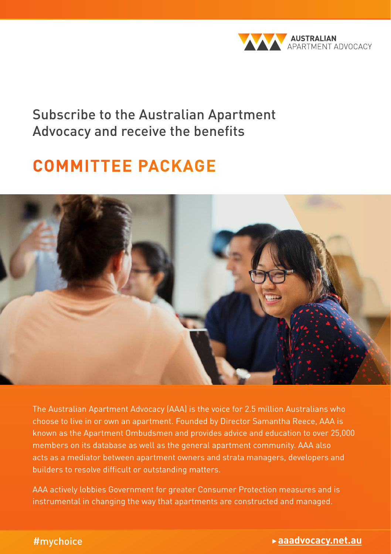

Subscribe to the Australian Apartment Advocacy and receive the benefits

# **COMMITTEE PACKAGE**



The Australian Apartment Advocacy (AAA) is the voice for 2.5 million Australians who choose to live in or own an apartment. Founded by Director Samantha Reece, AAA is known as the Apartment Ombudsmen and provides advice and education to over 25,000 members on its database as well as the general apartment community. AAA also acts as a mediator between apartment owners and strata managers, developers and builders to resolve difficult or outstanding matters.

AAA actively lobbies Government for greater Consumer Protection measures and is instrumental in changing the way that apartments are constructed and managed.

#### #mychoice

## What you need to know about living in an apartment | Owner's guide 1 **aaadvocacy.net.au**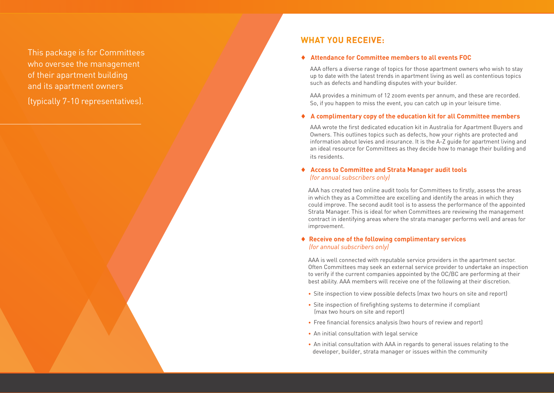This package is for Committees who oversee the management of their apartment building and its apartment owners

(typically 7-10 representatives).

## **WHAT YOU RECEIVE:**

#### ♦ **Attendance for Committee members to all events FOC**

AAA offers a diverse range of topics for those apartment owners who wish to stay up to date with the latest trends in apartment living as well as contentious topics such as defects and handling disputes with your builder.

AAA provides a minimum of 12 zoom events per annum, and these are recorded. So, if you happen to miss the event, you can catch up in your leisure time.

#### ♦ **A complimentary copy of the education kit for all Committee members**

AAA wrote the first dedicated education kit in Australia for Apartment Buyers and Owners. This outlines topics such as defects, how your rights are protected and information about levies and insurance. It is the A-Z guide for apartment living and an ideal resource for Committees as they decide how to manage their building and its residents.

#### ♦ **Access to Committee and Strata Manager audit tools** *(for annual subscribers only)*

AAA has created two online audit tools for Committees to firstly, assess the areas in which they as a Committee are excelling and identify the areas in which they could improve. The second audit tool is to assess the performance of the appointed Strata Manager. This is ideal for when Committees are reviewing the management contract in identifying areas where the strata manager performs well and areas for improvement.

#### ♦ **Receive one of the following complimentary services** *(for annual subscribers only)*

AAA is well connected with reputable service providers in the apartment sector. Often Committees may seek an external service provider to undertake an inspection to verify if the current companies appointed by the OC/BC are performing at their best ability. AAA members will receive one of the following at their discretion.

- Site inspection to view possible defects (max two hours on site and report)
- Site inspection of firefighting systems to determine if compliant (max two hours on site and report)
- Free financial forensics analysis (two hours of review and report)
- An initial consultation with legal service
- An initial consultation with AAA in regards to general issues relating to the developer, builder, strata manager or issues within the community